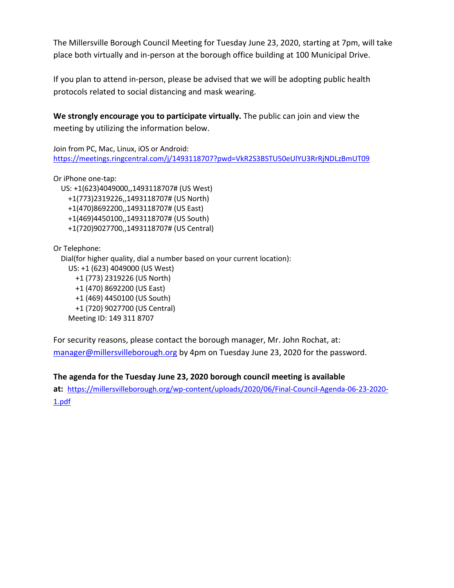The Millersville Borough Council Meeting for Tuesday June 23, 2020, starting at 7pm, will take place both virtually and in-person at the borough office building at 100 Municipal Drive.

If you plan to attend in-person, please be advised that we will be adopting public health protocols related to social distancing and mask wearing.

**We strongly encourage you to participate virtually.** The public can join and view the meeting by utilizing the information below.

Join from PC, Mac, Linux, iOS or Android: <https://meetings.ringcentral.com/j/1493118707?pwd=VkR2S3BSTU50eUlYU3RrRjNDLzBmUT09>

Or iPhone one-tap:

 US: +1(623)4049000,,1493118707# (US West) +1(773)2319226,,1493118707# (US North) +1(470)8692200,,1493118707# (US East) +1(469)4450100,,1493118707# (US South) +1(720)9027700,,1493118707# (US Central)

Or Telephone:

Dial(for higher quality, dial a number based on your current location):

 US: +1 (623) 4049000 (US West) +1 (773) 2319226 (US North) +1 (470) 8692200 (US East) +1 (469) 4450100 (US South) +1 (720) 9027700 (US Central) Meeting ID: 149 311 8707

For security reasons, please contact the borough manager, Mr. John Rochat, at: [manager@millersvilleborough.org](mailto:manager@millersvilleborough.org) by 4pm on Tuesday June 23, 2020 for the password.

**The agenda for the Tuesday June 23, 2020 borough council meeting is available**

**at:** [https://millersvilleborough.org/wp-content/uploads/2020/06/Final-Council-Agenda-06-23-2020-](https://millersvilleborough.org/wp-content/uploads/2020/06/Final-Council-Agenda-06-23-2020-1.pdf) [1.pdf](https://millersvilleborough.org/wp-content/uploads/2020/06/Final-Council-Agenda-06-23-2020-1.pdf)